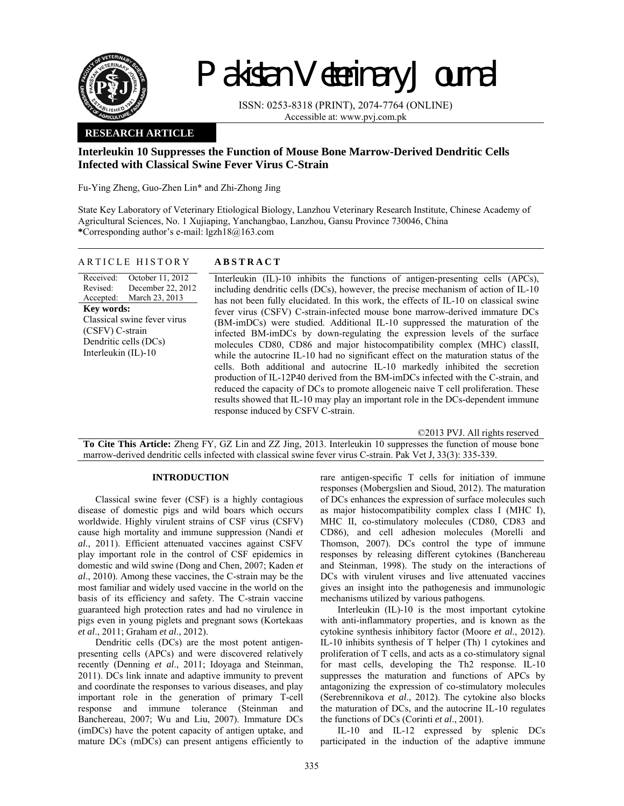

# Pakistan Veterinary Journal

ISSN: 0253-8318 (PRINT), 2074-7764 (ONLINE) Accessible at: www.pvj.com.pk

### **RESEARCH ARTICLE**

## **Interleukin 10 Suppresses the Function of Mouse Bone Marrow-Derived Dendritic Cells Infected with Classical Swine Fever Virus C-Strain**

Fu-Ying Zheng, Guo-Zhen Lin\* and Zhi-Zhong Jing

State Key Laboratory of Veterinary Etiological Biology, Lanzhou Veterinary Research Institute, Chinese Academy of Agricultural Sciences, No. 1 Xujiaping, Yanchangbao, Lanzhou, Gansu Province 730046, China **\***Corresponding author's e-mail: lgzh18@163.com

#### ARTICLE HISTORY **ABSTRACT**

Received: Revised: Accepted: October 11, 2012 December 22, 2012 March 23, 2013 **Key words:**  Classical swine fever virus (CSFV) C-strain Dendritic cells (DCs) Interleukin (IL)-10

Interleukin (IL)-10 inhibits the functions of antigen-presenting cells (APCs), including dendritic cells (DCs), however, the precise mechanism of action of IL-10 has not been fully elucidated. In this work, the effects of IL-10 on classical swine fever virus (CSFV) C-strain-infected mouse bone marrow-derived immature DCs (BM-imDCs) were studied. Additional IL-10 suppressed the maturation of the infected BM-imDCs by down-regulating the expression levels of the surface molecules CD80, CD86 and major histocompatibility complex (MHC) classII, while the autocrine IL-10 had no significant effect on the maturation status of the cells. Both additional and autocrine IL-10 markedly inhibited the secretion production of IL-12P40 derived from the BM-imDCs infected with the C-strain, and reduced the capacity of DCs to promote allogeneic naive T cell proliferation. These results showed that IL-10 may play an important role in the DCs-dependent immune response induced by CSFV C-strain.

©2013 PVJ. All rights reserved

**To Cite This Article:** Zheng FY, GZ Lin and ZZ Jing, 2013. Interleukin 10 suppresses the function of mouse bone marrow-derived dendritic cells infected with classical swine fever virus C-strain. Pak Vet J, 33(3): 335-339.

#### **INTRODUCTION**

Classical swine fever (CSF) is a highly contagious disease of domestic pigs and wild boars which occurs worldwide. Highly virulent strains of CSF virus (CSFV) cause high mortality and immune suppression (Nandi *et al*., 2011). Efficient attenuated vaccines against CSFV play important role in the control of CSF epidemics in domestic and wild swine (Dong and Chen, 2007; Kaden *et al*., 2010). Among these vaccines, the C-strain may be the most familiar and widely used vaccine in the world on the basis of its efficiency and safety. The C-strain vaccine guaranteed high protection rates and had no virulence in pigs even in young piglets and pregnant sows (Kortekaas *et al*., 2011; Graham *et al*., 2012).

Dendritic cells (DCs) are the most potent antigenpresenting cells (APCs) and were discovered relatively recently (Denning *et al*., 2011; Idoyaga and Steinman, 2011). DCs link innate and adaptive immunity to prevent and coordinate the responses to various diseases, and play important role in the generation of primary T-cell response and immune tolerance (Steinman and Banchereau, 2007; Wu and Liu, 2007). Immature DCs (imDCs) have the potent capacity of antigen uptake, and mature DCs (mDCs) can present antigens efficiently to

rare antigen-specific T cells for initiation of immune responses (Mobergslien and Sioud, 2012). The maturation of DCs enhances the expression of surface molecules such as major histocompatibility complex class I (MHC I), MHC II, co-stimulatory molecules (CD80, CD83 and CD86), and cell adhesion molecules (Morelli and Thomson, 2007). DCs control the type of immune responses by releasing different cytokines (Banchereau and Steinman, 1998). The study on the interactions of DCs with virulent viruses and live attenuated vaccines gives an insight into the pathogenesis and immunologic mechanisms utilized by various pathogens.

Interleukin (IL)-10 is the most important cytokine with anti-inflammatory properties, and is known as the cytokine synthesis inhibitory factor (Moore *et al*., 2012). IL-10 inhibits synthesis of T helper (Th) 1 cytokines and proliferation of T cells, and acts as a co-stimulatory signal for mast cells, developing the Th2 response. IL-10 suppresses the maturation and functions of APCs by antagonizing the expression of co-stimulatory molecules (Serebrennikova *et al*., 2012). The cytokine also blocks the maturation of DCs, and the autocrine IL-10 regulates the functions of DCs (Corinti *et al*., 2001).

IL-10 and IL-12 expressed by splenic DCs participated in the induction of the adaptive immune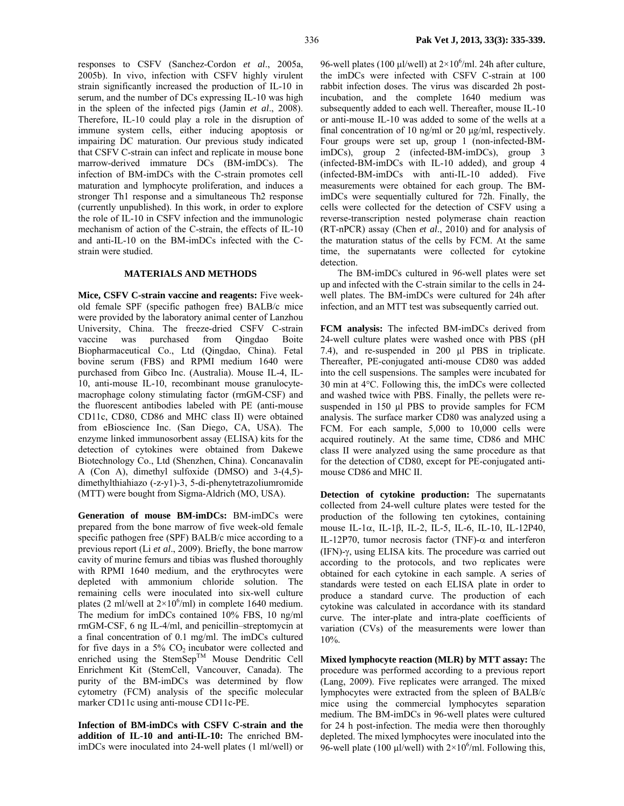responses to CSFV (Sanchez-Cordon *et al*., 2005a, 2005b). In vivo, infection with CSFV highly virulent strain significantly increased the production of IL-10 in serum, and the number of DCs expressing IL-10 was high in the spleen of the infected pigs (Jamin *et al*., 2008). Therefore, IL-10 could play a role in the disruption of immune system cells, either inducing apoptosis or impairing DC maturation. Our previous study indicated that CSFV C-strain can infect and replicate in mouse bone marrow-derived immature DCs (BM-imDCs). The infection of BM-imDCs with the C-strain promotes cell maturation and lymphocyte proliferation, and induces a stronger Th1 response and a simultaneous Th2 response

(currently unpublished). In this work, in order to explore the role of IL-10 in CSFV infection and the immunologic mechanism of action of the C-strain, the effects of IL-10 and anti-IL-10 on the BM-imDCs infected with the Cstrain were studied.

#### **MATERIALS AND METHODS**

**Mice, CSFV C-strain vaccine and reagents:** Five weekold female SPF (specific pathogen free) BALB/c mice were provided by the laboratory animal center of Lanzhou University, China. The freeze-dried CSFV C-strain vaccine was purchased from Qingdao Boite Biopharmaceutical Co., Ltd (Qingdao, China). Fetal bovine serum (FBS) and RPMI medium 1640 were purchased from Gibco Inc. (Australia). Mouse IL-4, IL-10, anti-mouse IL-10, recombinant mouse granulocytemacrophage colony stimulating factor (rmGM-CSF) and the fluorescent antibodies labeled with PE (anti-mouse CD11c, CD80, CD86 and MHC class II) were obtained from eBioscience Inc. (San Diego, CA, USA). The enzyme linked immunosorbent assay (ELISA) kits for the detection of cytokines were obtained from Dakewe Biotechnology Co., Ltd (Shenzhen, China). Concanavalin A (Con A), dimethyl sulfoxide (DMSO) and 3-(4,5) dimethylthiahiazo (-z-y1)-3, 5-di-phenytetrazoliumromide (MTT) were bought from Sigma-Aldrich (MO, USA).

**Generation of mouse BM-imDCs:** BM-imDCs were prepared from the bone marrow of five week-old female specific pathogen free (SPF) BALB/c mice according to a previous report (Li *et al*., 2009). Briefly, the bone marrow cavity of murine femurs and tibias was flushed thoroughly with RPMI 1640 medium, and the erythrocytes were depleted with ammonium chloride solution. The remaining cells were inoculated into six-well culture plates (2 ml/well at  $2\times10^6$ /ml) in complete 1640 medium. The medium for imDCs contained 10% FBS, 10 ng/ml rmGM-CSF, 6 ng IL-4/ml, and penicillin–streptomycin at a final concentration of 0.1 mg/ml. The imDCs cultured for five days in a  $5\%$  CO<sub>2</sub> incubator were collected and enriched using the StemSep<sup>TM</sup> Mouse Dendritic Cell Enrichment Kit (StemCell, Vancouver, Canada). The purity of the BM-imDCs was determined by flow cytometry (FCM) analysis of the specific molecular marker CD11c using anti-mouse CD11c-PE.

**Infection of BM-imDCs with CSFV C-strain and the addition of IL-10 and anti-IL-10:** The enriched BMimDCs were inoculated into 24-well plates (1 ml/well) or

96-well plates (100  $\mu$ l/well) at  $2\times10^6$ /ml. 24h after culture, the imDCs were infected with CSFV C-strain at 100 rabbit infection doses. The virus was discarded 2h postincubation, and the complete 1640 medium was subsequently added to each well. Thereafter, mouse IL-10 or anti-mouse IL-10 was added to some of the wells at a final concentration of 10 ng/ml or 20 µg/ml, respectively. Four groups were set up, group 1 (non-infected-BMimDCs), group 2 (infected-BM-imDCs), group 3 (infected-BM-imDCs with IL-10 added), and group 4 (infected-BM-imDCs with anti-IL-10 added). Five measurements were obtained for each group. The BMimDCs were sequentially cultured for 72h. Finally, the cells were collected for the detection of CSFV using a reverse-transcription nested polymerase chain reaction (RT-nPCR) assay (Chen *et al*., 2010) and for analysis of the maturation status of the cells by FCM. At the same time, the supernatants were collected for cytokine detection.

The BM-imDCs cultured in 96-well plates were set up and infected with the C-strain similar to the cells in 24 well plates. The BM-imDCs were cultured for 24h after infection, and an MTT test was subsequently carried out.

**FCM analysis:** The infected BM-imDCs derived from 24-well culture plates were washed once with PBS (pH 7.4), and re-suspended in 200 µl PBS in triplicate. Thereafter, PE-conjugated anti-mouse CD80 was added into the cell suspensions. The samples were incubated for 30 min at 4°C. Following this, the imDCs were collected and washed twice with PBS. Finally, the pellets were resuspended in 150 µl PBS to provide samples for FCM analysis. The surface marker CD80 was analyzed using a FCM. For each sample, 5,000 to 10,000 cells were acquired routinely. At the same time, CD86 and MHC class II were analyzed using the same procedure as that for the detection of CD80, except for PE-conjugated antimouse CD86 and MHC II.

**Detection of cytokine production:** The supernatants collected from 24-well culture plates were tested for the production of the following ten cytokines, containing mouse IL-1α, IL-1β, IL-2, IL-5, IL-6, IL-10, IL-12P40, IL-12P70, tumor necrosis factor (TNF)- $\alpha$  and interferon (IFN)-γ, using ELISA kits. The procedure was carried out according to the protocols, and two replicates were obtained for each cytokine in each sample. A series of standards were tested on each ELISA plate in order to produce a standard curve. The production of each cytokine was calculated in accordance with its standard curve. The inter-plate and intra-plate coefficients of variation (CVs) of the measurements were lower than 10%.

**Mixed lymphocyte reaction (MLR) by MTT assay:** The procedure was performed according to a previous report (Lang, 2009). Five replicates were arranged. The mixed lymphocytes were extracted from the spleen of BALB/c mice using the commercial lymphocytes separation medium. The BM-imDCs in 96-well plates were cultured for 24 h post-infection. The media were then thoroughly depleted. The mixed lymphocytes were inoculated into the 96-well plate (100  $\mu$ l/well) with  $2 \times 10^6$ /ml. Following this,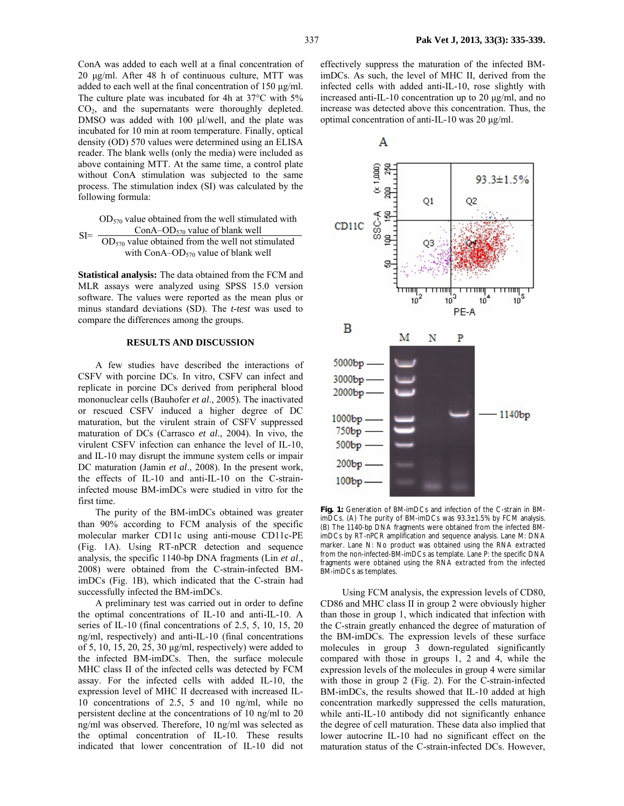ConA was added to each well at a final concentration of 20 µg/ml. After 48 h of continuous culture, MTT was added to each well at the final concentration of 150 µg/ml. The culture plate was incubated for 4h at 37°C with 5% CO2, and the supernatants were thoroughly depleted. DMSO was added with 100 µl/well, and the plate was incubated for 10 min at room temperature. Finally, optical density (OD) 570 values were determined using an ELISA reader. The blank wells (only the media) were included as above containing MTT. At the same time, a control plate without ConA stimulation was subjected to the same process. The stimulation index (SI) was calculated by the following formula:

 $OD<sub>570</sub>$  value obtained from the well stimulated with  $SI=\frac{ConA-OD_{570}}{OD_{570}}$  value obtained from the well not stimulated with ConA– $OD_{570}$  value of blank well

**Statistical analysis:** The data obtained from the FCM and MLR assays were analyzed using SPSS 15.0 version software. The values were reported as the mean plus or minus standard deviations (SD). The *t-test* was used to compare the differences among the groups.

#### **RESULTS AND DISCUSSION**

A few studies have described the interactions of CSFV with porcine DCs. In vitro, CSFV can infect and replicate in porcine DCs derived from peripheral blood mononuclear cells (Bauhofer *et al*., 2005). The inactivated or rescued CSFV induced a higher degree of DC maturation, but the virulent strain of CSFV suppressed maturation of DCs (Carrasco *et al*., 2004). In vivo, the virulent CSFV infection can enhance the level of IL-10, and IL-10 may disrupt the immune system cells or impair DC maturation (Jamin *et al*., 2008). In the present work, the effects of IL-10 and anti-IL-10 on the C-straininfected mouse BM-imDCs were studied in vitro for the first time.

The purity of the BM-imDCs obtained was greater than 90% according to FCM analysis of the specific molecular marker CD11c using anti-mouse CD11c-PE (Fig. 1A). Using RT-nPCR detection and sequence analysis, the specific 1140-bp DNA fragments (Lin *et al*., 2008) were obtained from the C-strain-infected BMimDCs (Fig. 1B), which indicated that the C-strain had successfully infected the BM-imDCs.

A preliminary test was carried out in order to define the optimal concentrations of IL-10 and anti-IL-10. A series of IL-10 (final concentrations of 2.5, 5, 10, 15, 20 ng/ml, respectively) and anti-IL-10 (final concentrations of 5, 10, 15, 20, 25, 30 µg/ml, respectively) were added to the infected BM-imDCs. Then, the surface molecule MHC class II of the infected cells was detected by FCM assay. For the infected cells with added IL-10, the expression level of MHC II decreased with increased IL-10 concentrations of 2.5, 5 and 10 ng/ml, while no persistent decline at the concentrations of 10 ng/ml to 20 ng/ml was observed. Therefore, 10 ng/ml was selected as the optimal concentration of IL-10. These results indicated that lower concentration of IL-10 did not

effectively suppress the maturation of the infected BMimDCs. As such, the level of MHC II, derived from the infected cells with added anti-IL-10, rose slightly with increased anti-IL-10 concentration up to 20 µg/ml, and no increase was detected above this concentration. Thus, the optimal concentration of anti-IL-10 was 20 µg/ml.



**Fig. 1:** Generation of BM-imDCs and infection of the C-strain in BMimDCs. (A) The purity of BM-imDCs was 93.3±1.5% by FCM analysis. (B) The 1140-bp DNA fragments were obtained from the infected BMimDCs by RT-nPCR amplification and sequence analysis. Lane M: DNA marker. Lane N: No product was obtained using the RNA extracted from the non-infected-BM-imDCs as template. Lane P: the specific DNA fragments were obtained using the RNA extracted from the infected BM-imDCs as templates.

 Using FCM analysis, the expression levels of CD80, CD86 and MHC class II in group 2 were obviously higher than those in group 1, which indicated that infection with the C-strain greatly enhanced the degree of maturation of the BM-imDCs. The expression levels of these surface molecules in group 3 down-regulated significantly compared with those in groups 1, 2 and 4, while the expression levels of the molecules in group 4 were similar with those in group 2 (Fig. 2). For the C-strain-infected BM-imDCs, the results showed that IL-10 added at high concentration markedly suppressed the cells maturation, while anti-IL-10 antibody did not significantly enhance the degree of cell maturation. These data also implied that lower autocrine IL-10 had no significant effect on the maturation status of the C-strain-infected DCs. However,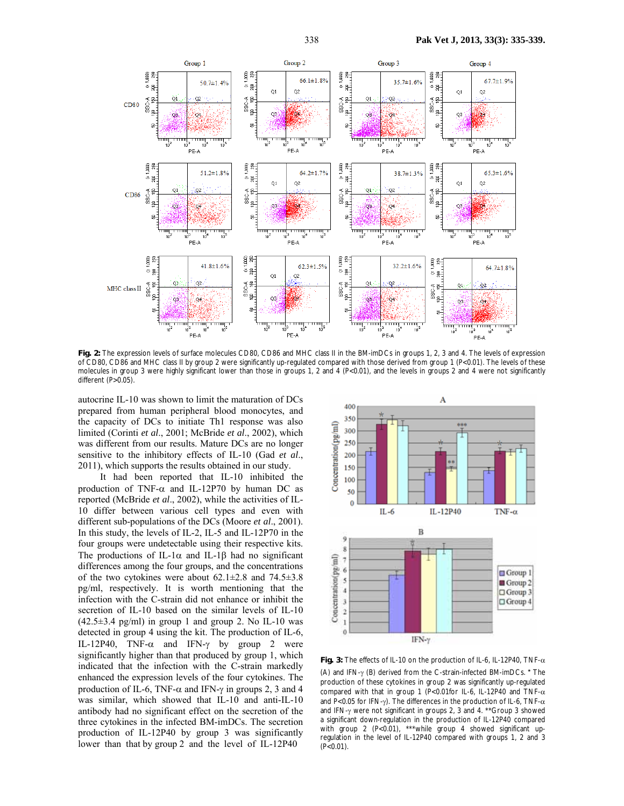

**Fig. 2:** The expression levels of surface molecules CD80, CD86 and MHC class II in the BM-imDCs in groups 1, 2, 3 and 4. The levels of expression of CD80, CD86 and MHC class II by group 2 were significantly up-regulated compared with those derived from group 1 (P<0.01). The levels of these molecules in group 3 were highly significant lower than those in groups 1, 2 and 4 (P<0.01), and the levels in groups 2 and 4 were not significantly different  $(P>0.05)$ .

autocrine IL-10 was shown to limit the maturation of DCs prepared from human peripheral blood monocytes, and the capacity of DCs to initiate Th1 response was also limited (Corinti *et al*., 2001; McBride *et al*., 2002), which was different from our results. Mature DCs are no longer sensitive to the inhibitory effects of IL-10 (Gad *et al*., 2011), which supports the results obtained in our study.

 It had been reported that IL-10 inhibited the production of TNF- $\alpha$  and IL-12P70 by human DC as reported (McBride *et al*., 2002), while the activities of IL-10 differ between various cell types and even with different sub-populations of the DCs (Moore *et al*., 2001). In this study, the levels of IL-2, IL-5 and IL-12P70 in the four groups were undetectable using their respective kits. The productions of IL-1 $\alpha$  and IL-1 $\beta$  had no significant differences among the four groups, and the concentrations of the two cytokines were about  $62.1 \pm 2.8$  and  $74.5 \pm 3.8$ pg/ml, respectively. It is worth mentioning that the infection with the C-strain did not enhance or inhibit the secretion of IL-10 based on the similar levels of IL-10  $(42.5\pm3.4 \text{ pg/ml})$  in group 1 and group 2. No IL-10 was detected in group 4 using the kit. The production of IL-6, IL-12P40, TNF- $\alpha$  and IFN- $\gamma$  by group 2 were significantly higher than that produced by group 1, which indicated that the infection with the C-strain markedly enhanced the expression levels of the four cytokines. The production of IL-6, TNF- $\alpha$  and IFN- $\gamma$  in groups 2, 3 and 4 was similar, which showed that IL-10 and anti-IL-10 antibody had no significant effect on the secretion of the three cytokines in the infected BM-imDCs. The secretion production of IL-12P40 by group 3 was significantly lower than that by group 2 and the level of IL-12P40



**Fig. 3:** The effects of IL-10 on the production of IL-6, IL-12P40, TNF-α (A) and IFN-γ (B) derived from the C-strain-infected BM-imDCs.\*The production of these cytokines in group 2 was significantly up-regulated compared with that in group 1 (P<0.01for IL-6, IL-12P40 and TNF- $\alpha$ and P<0.05 for IFN-γ). The differences in the production of IL-6, TNF- $\alpha$ and IFN-γ were not significant in groups 2, 3 and 4. \*\*Group 3 showed a significant down-regulation in the production of IL-12P40 compared with group 2 (P<0.01), \*\*\*while group 4 showed significant upregulation in the level of IL-12P40 compared with groups 1, 2 and 3  $(P<0.01)$ .